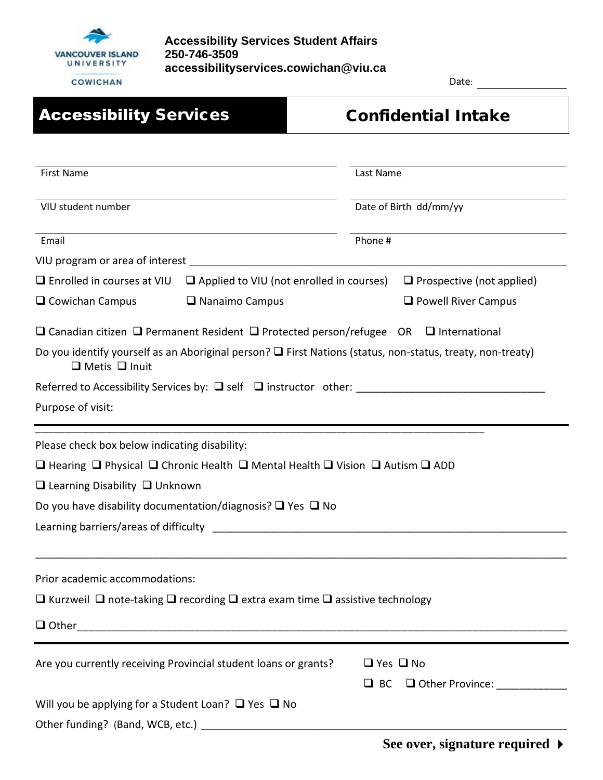

Date:

| <b>Accessibility Services</b>                                                     | <b>Confidential Intake</b>                                                                                      |
|-----------------------------------------------------------------------------------|-----------------------------------------------------------------------------------------------------------------|
|                                                                                   |                                                                                                                 |
| <b>First Name</b>                                                                 | Last Name                                                                                                       |
| VIU student number                                                                | Date of Birth dd/mm/yy                                                                                          |
| Email                                                                             | Phone #                                                                                                         |
| VIU program or area of interest                                                   |                                                                                                                 |
| $\Box$ Enrolled in courses at VIU $\Box$ Applied to VIU (not enrolled in courses) | $\Box$ Prospective (not applied)                                                                                |
| $\Box$ Nanaimo Campus<br>$\Box$ Cowichan Campus                                   | $\Box$ Powell River Campus                                                                                      |
|                                                                                   | $\Box$ Canadian citizen $\Box$ Permanent Resident $\Box$ Protected person/refugee OR $\Box$ International       |
| $\Box$ Metis $\Box$ Inuit                                                         | Do you identify yourself as an Aboriginal person? $\Box$ First Nations (status, non-status, treaty, non-treaty) |
|                                                                                   |                                                                                                                 |
| Purpose of visit:                                                                 |                                                                                                                 |
| Please check box below indicating disability:                                     |                                                                                                                 |
| □ Hearing □ Physical □ Chronic Health □ Mental Health □ Vision □ Autism □ ADD     |                                                                                                                 |
| $\Box$ Learning Disability $\Box$ Unknown                                         |                                                                                                                 |
| Do you have disability documentation/diagnosis? $\Box$ Yes $\Box$ No              |                                                                                                                 |
| Learning barriers/areas of difficulty                                             |                                                                                                                 |
|                                                                                   |                                                                                                                 |
| Prior academic accommodations:                                                    |                                                                                                                 |
| □ Kurzweil □ note-taking □ recording □ extra exam time □ assistive technology     |                                                                                                                 |
|                                                                                   |                                                                                                                 |
| Are you currently receiving Provincial student loans or grants?                   | $\Box$ Yes $\Box$ No                                                                                            |
|                                                                                   | □ Other Province: _____________<br>$\Box$ BC                                                                    |
| Will you be applying for a Student Loan? $\Box$ Yes $\Box$ No                     |                                                                                                                 |
|                                                                                   |                                                                                                                 |